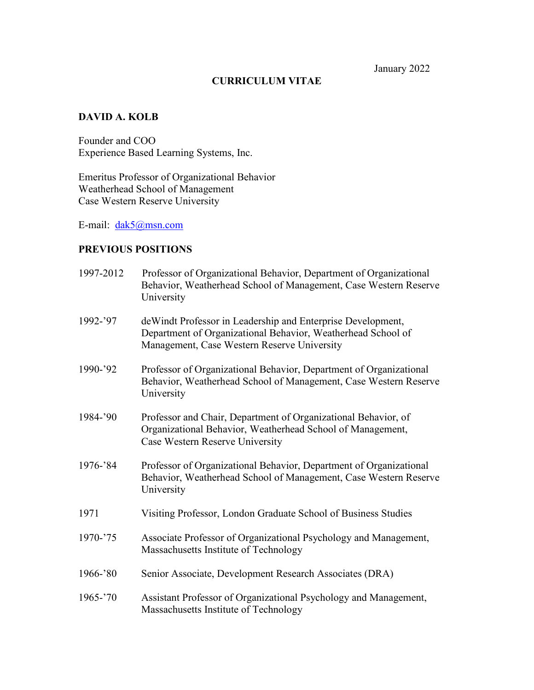#### **CURRICULUM VITAE**

## **DAVID A. KOLB**

Founder and COO Experience Based Learning Systems, Inc.

Emeritus Professor of Organizational Behavior Weatherhead School of Management Case Western Reserve University

E-mail: [dak5@msn.com](mailto:dak5@msn.com)

## **PREVIOUS POSITIONS**

| 1997-2012   | Professor of Organizational Behavior, Department of Organizational<br>Behavior, Weatherhead School of Management, Case Western Reserve<br>University                        |
|-------------|-----------------------------------------------------------------------------------------------------------------------------------------------------------------------------|
| 1992-'97    | de Windt Professor in Leadership and Enterprise Development,<br>Department of Organizational Behavior, Weatherhead School of<br>Management, Case Western Reserve University |
| $1990 - 92$ | Professor of Organizational Behavior, Department of Organizational<br>Behavior, Weatherhead School of Management, Case Western Reserve<br>University                        |
| 1984-'90    | Professor and Chair, Department of Organizational Behavior, of<br>Organizational Behavior, Weatherhead School of Management,<br>Case Western Reserve University             |
| 1976-'84    | Professor of Organizational Behavior, Department of Organizational<br>Behavior, Weatherhead School of Management, Case Western Reserve<br>University                        |
| 1971        | Visiting Professor, London Graduate School of Business Studies                                                                                                              |
| $1970 - 75$ | Associate Professor of Organizational Psychology and Management,<br>Massachusetts Institute of Technology                                                                   |
| $1966 - 80$ | Senior Associate, Development Research Associates (DRA)                                                                                                                     |
| 1965-'70    | Assistant Professor of Organizational Psychology and Management,<br>Massachusetts Institute of Technology                                                                   |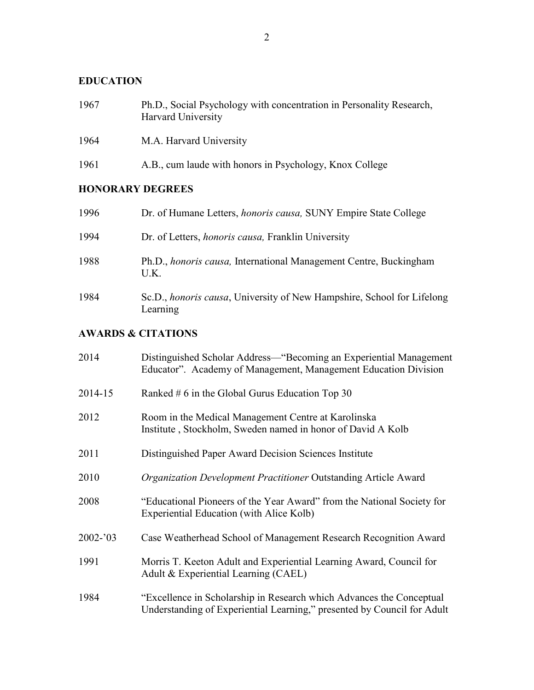# **EDUCATION**

| 1967                    | Ph.D., Social Psychology with concentration in Personality Research,<br>Harvard University |  |
|-------------------------|--------------------------------------------------------------------------------------------|--|
| 1964                    | M.A. Harvard University                                                                    |  |
| 1961                    | A.B., cum laude with honors in Psychology, Knox College                                    |  |
| <b>HONORARY DEGREES</b> |                                                                                            |  |
| 1996                    | Dr. of Humane Letters, <i>honoris causa</i> , SUNY Empire State College                    |  |
| 1994                    | Dr. of Letters, <i>honoris causa</i> , Franklin University                                 |  |
| 1988                    | Ph.D., <i>honoris causa</i> , International Management Centre, Buckingham<br>U.K.          |  |
| 1984                    | Sc.D., <i>honoris causa</i> , University of New Hampshire, School for Lifelong             |  |

## **AWARDS & CITATIONS**

Learning

| 2014        | Distinguished Scholar Address—"Becoming an Experiential Management<br>Educator". Academy of Management, Management Education Division           |
|-------------|-------------------------------------------------------------------------------------------------------------------------------------------------|
| 2014-15     | Ranked $# 6$ in the Global Gurus Education Top 30                                                                                               |
| 2012        | Room in the Medical Management Centre at Karolinska<br>Institute, Stockholm, Sweden named in honor of David A Kolb                              |
| 2011        | Distinguished Paper Award Decision Sciences Institute                                                                                           |
| 2010        | Organization Development Practitioner Outstanding Article Award                                                                                 |
| 2008        | "Educational Pioneers of the Year Award" from the National Society for<br>Experiential Education (with Alice Kolb)                              |
| $2002 - 03$ | Case Weatherhead School of Management Research Recognition Award                                                                                |
| 1991        | Morris T. Keeton Adult and Experiential Learning Award, Council for<br>Adult & Experiential Learning (CAEL)                                     |
| 1984        | "Excellence in Scholarship in Research which Advances the Conceptual<br>Understanding of Experiential Learning," presented by Council for Adult |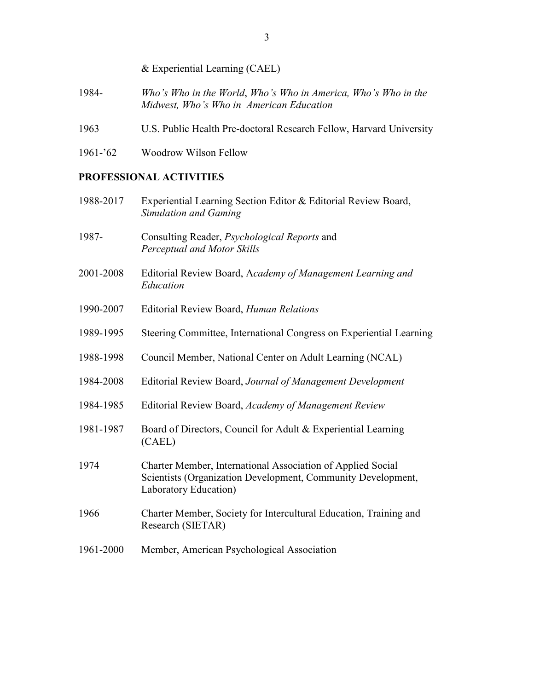## & Experiential Learning (CAEL)

- 1984- *Who's Who in the World*, *Who's Who in America, Who's Who in the Midwest, Who's Who in American Education*
- 1963 U.S. Public Health Pre-doctoral Research Fellow, Harvard University
- 1961-'62 Woodrow Wilson Fellow

## **PROFESSIONAL ACTIVITIES**

| 1988-2017 | Experiential Learning Section Editor & Editorial Review Board,<br><b>Simulation and Gaming</b>                                                       |
|-----------|------------------------------------------------------------------------------------------------------------------------------------------------------|
| 1987-     | Consulting Reader, Psychological Reports and<br>Perceptual and Motor Skills                                                                          |
| 2001-2008 | Editorial Review Board, Academy of Management Learning and<br>Education                                                                              |
| 1990-2007 | <b>Editorial Review Board, Human Relations</b>                                                                                                       |
| 1989-1995 | Steering Committee, International Congress on Experiential Learning                                                                                  |
| 1988-1998 | Council Member, National Center on Adult Learning (NCAL)                                                                                             |
| 1984-2008 | Editorial Review Board, Journal of Management Development                                                                                            |
| 1984-1985 | Editorial Review Board, Academy of Management Review                                                                                                 |
| 1981-1987 | Board of Directors, Council for Adult & Experiential Learning<br>(CAEL)                                                                              |
| 1974      | Charter Member, International Association of Applied Social<br>Scientists (Organization Development, Community Development,<br>Laboratory Education) |
| 1966      | Charter Member, Society for Intercultural Education, Training and<br>Research (SIETAR)                                                               |
| 1961-2000 | Member, American Psychological Association                                                                                                           |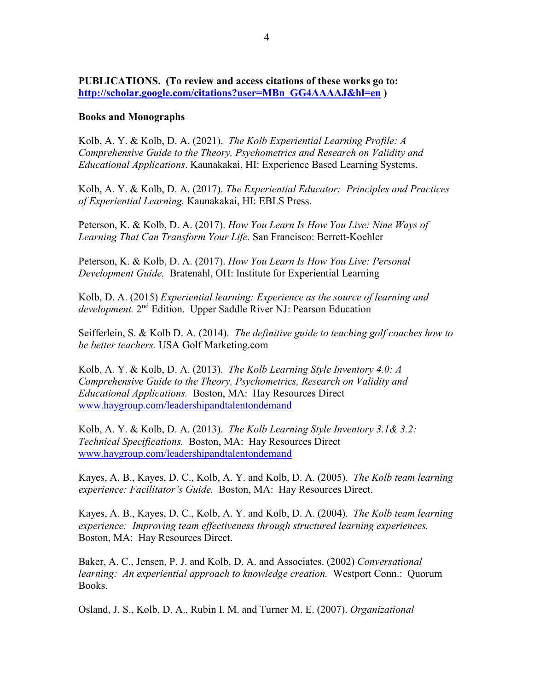### **PUBLICATIONS. (To review and access citations of these works go to: [http://scholar.google.com/citations?user=MBn\\_GG4AAAAJ&hl=en](http://scholar.google.com/citations?user=MBn_GG4AAAAJ&hl=en) )**

#### **Books and Monographs**

Kolb, A. Y. & Kolb, D. A. (2021). *The Kolb Experiential Learning Profile: A Comprehensive Guide to the Theory, Psychometrics and Research on Validity and Educational Applications*. Kaunakakai, HI: Experience Based Learning Systems.

Kolb, A. Y. & Kolb, D. A. (2017). *The Experiential Educator: Principles and Practices of Experiential Learning.* Kaunakakai, HI: EBLS Press.

Peterson, K. & Kolb, D. A. (2017). *How You Learn Is How You Live: Nine Ways of Learning That Can Transform Your Life.* San Francisco: Berrett-Koehler

Peterson, K. & Kolb, D. A. (2017). *How You Learn Is How You Live: Personal Development Guide.* Bratenahl, OH: Institute for Experiential Learning

Kolb, D. A. (2015) *Experiential learning: Experience as the source of learning and development.* 2nd Edition. Upper Saddle River NJ: Pearson Education

Seifferlein, S. & Kolb D. A. (2014). *The definitive guide to teaching golf coaches how to be better teachers.* USA Golf Marketing.com

Kolb, A. Y. & Kolb, D. A. (2013). *The Kolb Learning Style Inventory 4.0: A Comprehensive Guide to the Theory, Psychometrics, Research on Validity and Educational Applications.* Boston, MA: Hay Resources Direct [www.haygroup.com/leadershipandtalentondemand](http://www.haygroup.com/leadershipandtalentondemand)

Kolb, A. Y. & Kolb, D. A. (2013). *The Kolb Learning Style Inventory 3.1& 3.2: Technical Specifications.* Boston, MA: Hay Resources Direct [www.haygroup.com/leadershipandtalentondemand](http://www.haygroup.com/leadershipandtalentondemand)

Kayes, A. B., Kayes, D. C., Kolb, A. Y. and Kolb, D. A. (2005). *The Kolb team learning experience: Facilitator's Guide.* Boston, MA: Hay Resources Direct.

Kayes, A. B., Kayes, D. C., Kolb, A. Y. and Kolb, D. A. (2004). *The Kolb team learning experience: Improving team effectiveness through structured learning experiences.*  Boston, MA: Hay Resources Direct.

Baker, A. C., Jensen, P. J. and Kolb, D. A. and Associates. (2002) *Conversational learning: An experiential approach to knowledge creation.* Westport Conn.: Quorum Books.

Osland, J. S., Kolb, D. A., Rubin I. M. and Turner M. E. (2007). *Organizational*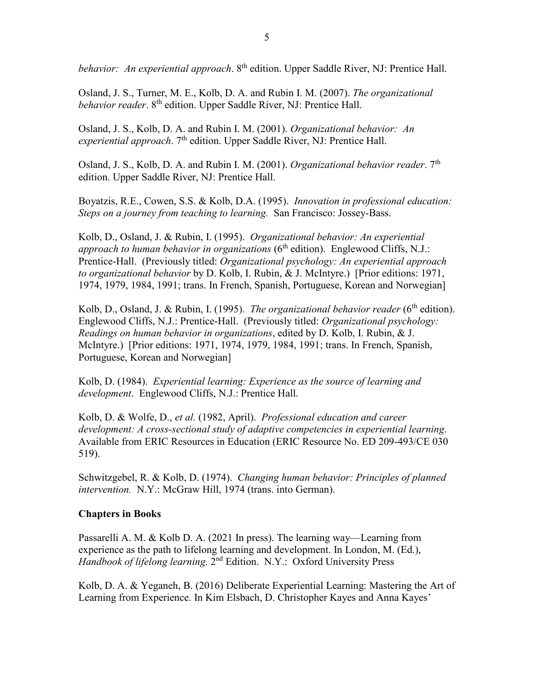*behavior: An experiential approach.* 8<sup>th</sup> edition. Upper Saddle River, NJ: Prentice Hall.

Osland, J. S., Turner, M. E., Kolb, D. A. and Rubin I. M. (2007). *The organizational behavior reader*. 8<sup>th</sup> edition. Upper Saddle River, NJ: Prentice Hall.

Osland, J. S., Kolb, D. A. and Rubin I. M. (2001). *Organizational behavior: An*  $$ 

Osland, J. S., Kolb, D. A. and Rubin I. M. (2001). *Organizational behavior reader*. 7<sup>th</sup> edition. Upper Saddle River, NJ: Prentice Hall.

Boyatzis, R.E., Cowen, S.S. & Kolb, D.A. (1995). *Innovation in professional education: Steps on a journey from teaching to learning.* San Francisco: Jossey-Bass.

Kolb, D., Osland, J. & Rubin, I. (1995). *Organizational behavior: An experiential approach to human behavior in organizations* (6<sup>th</sup> edition). Englewood Cliffs, N.J.: Prentice-Hall. (Previously titled: *Organizational psychology: An experiential approach to organizational behavior* by D. Kolb, I. Rubin, & J. McIntyre.) [Prior editions: 1971, 1974, 1979, 1984, 1991; trans. In French, Spanish, Portuguese, Korean and Norwegian]

Kolb, D., Osland, J. & Rubin, I. (1995). *The organizational behavior reader* (6<sup>th</sup> edition). Englewood Cliffs, N.J.: Prentice-Hall. (Previously titled: *Organizational psychology: Readings on human behavior in organizations*, edited by D. Kolb, I. Rubin, & J. McIntyre.) [Prior editions: 1971, 1974, 1979, 1984, 1991; trans. In French, Spanish, Portuguese, Korean and Norwegian]

Kolb, D. (1984). *Experiential learning: Experience as the source of learning and development*. Englewood Cliffs, N.J.: Prentice Hall.

Kolb, D. & Wolfe, D., *et al.* (1982, April). *Professional education and career development: A cross-sectional study of adaptive competencies in experiential learning*. Available from ERIC Resources in Education (ERIC Resource No. ED 209-493/CE 030 519).

Schwitzgebel, R. & Kolb, D. (1974). *Changing human behavior: Principles of planned intervention.* N.Y.: McGraw Hill, 1974 (trans. into German).

#### **Chapters in Books**

Passarelli A. M. & Kolb D. A. (2021 In press). The learning way—Learning from experience as the path to lifelong learning and development. In London, M. (Ed.), *Handbook of lifelong learning.* 2nd Edition.N.Y.: Oxford University Press

Kolb, D. A. & Yeganeh, B. (2016) Deliberate Experiential Learning: Mastering the Art of Learning from Experience. In Kim Elsbach, D. Christopher Kayes and Anna Kayes'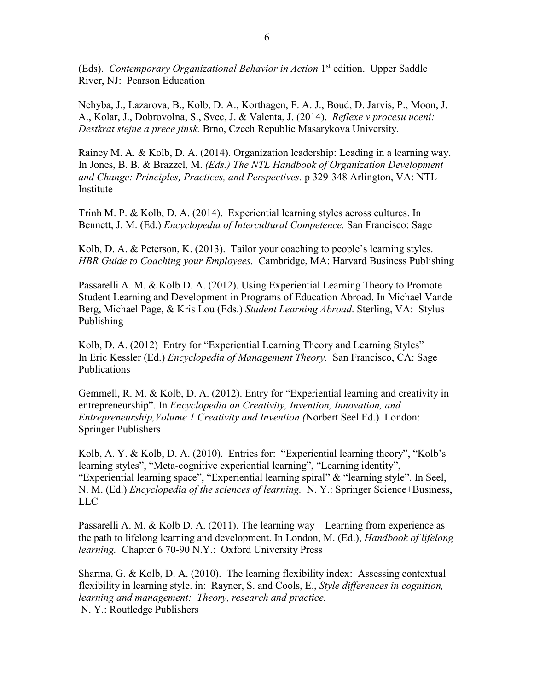(Eds). *Contemporary Organizational Behavior in Action* 1st edition. Upper Saddle River, NJ: Pearson Education

Nehyba, J., Lazarova, B., Kolb, D. A., Korthagen, F. A. J., Boud, D. Jarvis, P., Moon, J. A., Kolar, J., Dobrovolna, S., Svec, J. & Valenta, J. (2014). *Reflexe v procesu uceni: Destkrat stejne a prece jinsk.* Brno, Czech Republic Masarykova University.

Rainey M. A. & Kolb, D. A. (2014). Organization leadership: Leading in a learning way. In Jones, B. B. & Brazzel, M. *(Eds.) The NTL Handbook of Organization Development and Change: Principles, Practices, and Perspectives.* p 329-348 Arlington, VA: NTL Institute

Trinh M. P. & Kolb, D. A. (2014). Experiential learning styles across cultures. In Bennett, J. M. (Ed.) *Encyclopedia of Intercultural Competence.* San Francisco: Sage

Kolb, D. A. & Peterson, K. (2013). Tailor your coaching to people's learning styles. *HBR Guide to Coaching your Employees.* Cambridge, MA: Harvard Business Publishing

Passarelli A. M. & Kolb D. A. (2012). Using Experiential Learning Theory to Promote Student Learning and Development in Programs of Education Abroad. In Michael Vande Berg, Michael Page, & Kris Lou (Eds.) *Student Learning Abroad*. Sterling, VA: Stylus Publishing

Kolb, D. A. (2012) Entry for "Experiential Learning Theory and Learning Styles" In Eric Kessler (Ed.) *Encyclopedia of Management Theory.* San Francisco, CA: Sage Publications

Gemmell, R. M. & Kolb, D. A. (2012). Entry for "Experiential learning and creativity in entrepreneurship". In *Encyclopedia on Creativity, Invention, Innovation, and Entrepreneurship,Volume 1 Creativity and Invention (*Norbert Seel Ed.)*.* London: Springer Publishers

Kolb, A. Y. & Kolb, D. A. (2010). Entries for: "Experiential learning theory", "Kolb's learning styles", "Meta-cognitive experiential learning", "Learning identity", "Experiential learning space", "Experiential learning spiral" & "learning style". In Seel, N. M. (Ed.) *Encyclopedia of the sciences of learning.* N. Y.: Springer Science+Business, LLC

Passarelli A. M. & Kolb D. A. (2011). The learning way—Learning from experience as the path to lifelong learning and development. In London, M. (Ed.), *Handbook of lifelong learning.* Chapter 6 70-90 N.Y.: Oxford University Press

Sharma, G. & Kolb, D. A. (2010). The learning flexibility index: Assessing contextual flexibility in learning style. in: Rayner, S. and Cools, E., *Style differences in cognition, learning and management: Theory, research and practice.* N. Y.: Routledge Publishers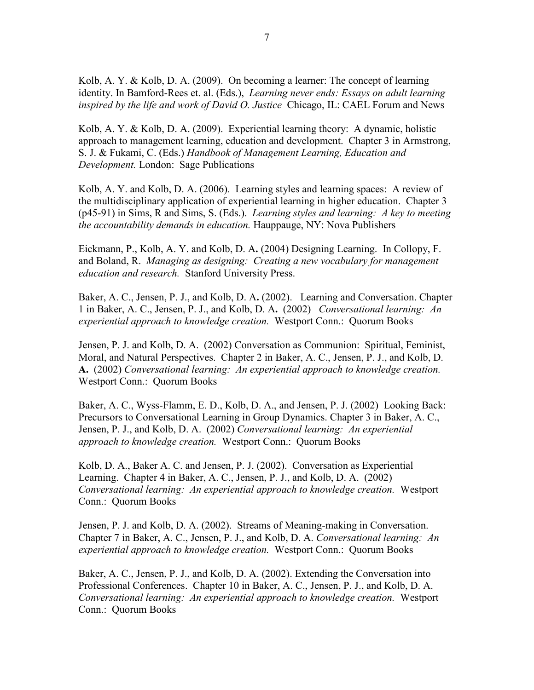Kolb, A. Y. & Kolb, D. A. (2009). On becoming a learner: The concept of learning identity. In Bamford-Rees et. al. (Eds.), *Learning never ends: Essays on adult learning inspired by the life and work of David O. Justice* Chicago, IL: CAEL Forum and News

Kolb, A. Y. & Kolb, D. A. (2009). Experiential learning theory: A dynamic, holistic approach to management learning, education and development. Chapter 3 in Armstrong, S. J. & Fukami, C. (Eds.) *Handbook of Management Learning, Education and Development.* London: Sage Publications

Kolb, A. Y. and Kolb, D. A. (2006). Learning styles and learning spaces: A review of the multidisciplinary application of experiential learning in higher education. Chapter 3 (p45-91) in Sims, R and Sims, S. (Eds.). *Learning styles and learning: A key to meeting the accountability demands in education.* Hauppauge, NY: Nova Publishers

Eickmann, P., Kolb, A. Y. and Kolb, D. A**.** (2004) Designing Learning. In Collopy, F. and Boland, R. *Managing as designing: Creating a new vocabulary for management education and research.* Stanford University Press.

Baker, A. C., Jensen, P. J., and Kolb, D. A**.** (2002). Learning and Conversation. Chapter 1 in Baker, A. C., Jensen, P. J., and Kolb, D. A**.** (2002) *Conversational learning: An experiential approach to knowledge creation.* Westport Conn.: Quorum Books

Jensen, P. J. and Kolb, D. A. (2002) Conversation as Communion: Spiritual, Feminist, Moral, and Natural Perspectives. Chapter 2 in Baker, A. C., Jensen, P. J., and Kolb, D. **A.** (2002) *Conversational learning: An experiential approach to knowledge creation.*  Westport Conn.: Quorum Books

Baker, A. C., Wyss-Flamm, E. D., Kolb, D. A., and Jensen, P. J. (2002) Looking Back: Precursors to Conversational Learning in Group Dynamics. Chapter 3 in Baker, A. C., Jensen, P. J., and Kolb, D. A. (2002) *Conversational learning: An experiential approach to knowledge creation.* Westport Conn.: Quorum Books

Kolb, D. A., Baker A. C. and Jensen, P. J. (2002). Conversation as Experiential Learning. Chapter 4 in Baker, A. C., Jensen, P. J., and Kolb, D. A. (2002) *Conversational learning: An experiential approach to knowledge creation.* Westport Conn.: Quorum Books

Jensen, P. J. and Kolb, D. A. (2002). Streams of Meaning-making in Conversation. Chapter 7 in Baker, A. C., Jensen, P. J., and Kolb, D. A. *Conversational learning: An experiential approach to knowledge creation.* Westport Conn.: Quorum Books

Baker, A. C., Jensen, P. J., and Kolb, D. A. (2002). Extending the Conversation into Professional Conferences. Chapter 10 in Baker, A. C., Jensen, P. J., and Kolb, D. A. *Conversational learning: An experiential approach to knowledge creation.* Westport Conn.: Quorum Books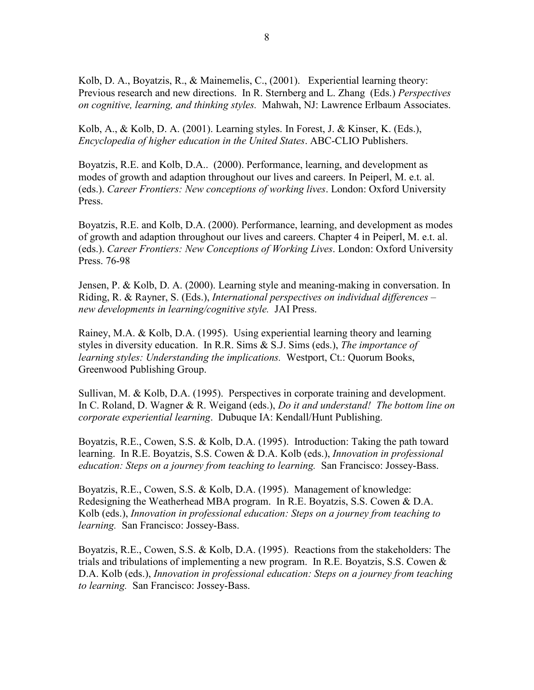Kolb, D. A., Boyatzis, R., & Mainemelis, C., (2001). Experiential learning theory: Previous research and new directions. In R. Sternberg and L. Zhang (Eds.) *Perspectives on cognitive, learning, and thinking styles.* Mahwah, NJ: Lawrence Erlbaum Associates.

Kolb, A., & Kolb, D. A. (2001). Learning styles. In Forest, J. & Kinser, K. (Eds.), *Encyclopedia of higher education in the United States*. ABC-CLIO Publishers.

Boyatzis, R.E. and Kolb, D.A.. (2000). Performance, learning, and development as modes of growth and adaption throughout our lives and careers. In Peiperl, M. e.t. al. (eds.). *Career Frontiers: New conceptions of working lives*. London: Oxford University Press.

Boyatzis, R.E. and Kolb, D.A. (2000). Performance, learning, and development as modes of growth and adaption throughout our lives and careers. Chapter 4 in Peiperl, M. e.t. al. (eds.). *Career Frontiers: New Conceptions of Working Lives*. London: Oxford University Press. 76-98

Jensen, P. & Kolb, D. A. (2000). Learning style and meaning-making in conversation. In Riding, R. & Rayner, S. (Eds.), *International perspectives on individual differences – new developments in learning/cognitive style.* JAI Press.

Rainey, M.A. & Kolb, D.A. (1995). Using experiential learning theory and learning styles in diversity education. In R.R. Sims & S.J. Sims (eds.), *The importance of learning styles: Understanding the implications.* Westport, Ct.: Quorum Books, Greenwood Publishing Group.

Sullivan, M. & Kolb, D.A. (1995). Perspectives in corporate training and development. In C. Roland, D. Wagner & R. Weigand (eds.), *Do it and understand! The bottom line on corporate experiential learning*. Dubuque IA: Kendall/Hunt Publishing.

Boyatzis, R.E., Cowen, S.S. & Kolb, D.A. (1995). Introduction: Taking the path toward learning. In R.E. Boyatzis, S.S. Cowen & D.A. Kolb (eds.), *Innovation in professional education: Steps on a journey from teaching to learning.* San Francisco: Jossey-Bass.

Boyatzis, R.E., Cowen, S.S. & Kolb, D.A. (1995). Management of knowledge: Redesigning the Weatherhead MBA program. In R.E. Boyatzis, S.S. Cowen & D.A. Kolb (eds.), *Innovation in professional education: Steps on a journey from teaching to learning.* San Francisco: Jossey-Bass.

Boyatzis, R.E., Cowen, S.S. & Kolb, D.A. (1995). Reactions from the stakeholders: The trials and tribulations of implementing a new program. In R.E. Boyatzis, S.S. Cowen & D.A. Kolb (eds.), *Innovation in professional education: Steps on a journey from teaching to learning.* San Francisco: Jossey-Bass.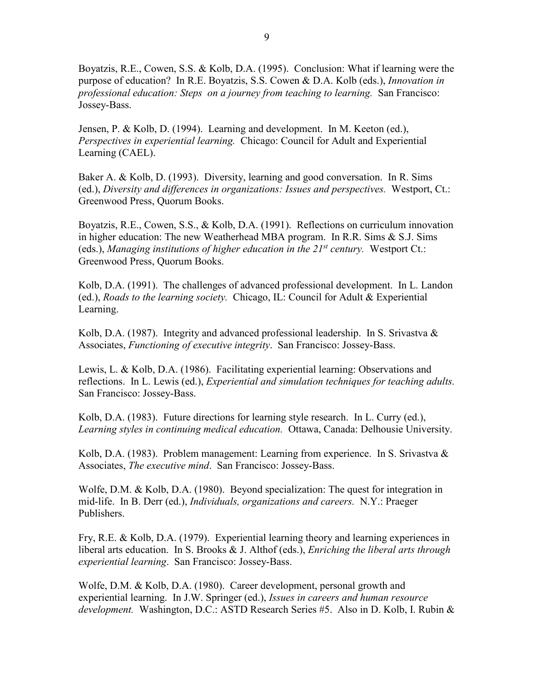Boyatzis, R.E., Cowen, S.S. & Kolb, D.A. (1995). Conclusion: What if learning were the purpose of education? In R.E. Boyatzis, S.S. Cowen & D.A. Kolb (eds.), *Innovation in professional education: Steps on a journey from teaching to learning.* San Francisco: Jossey-Bass.

Jensen, P. & Kolb, D. (1994). Learning and development. In M. Keeton (ed.), *Perspectives in experiential learning.* Chicago: Council for Adult and Experiential Learning (CAEL).

Baker A. & Kolb, D. (1993). Diversity, learning and good conversation. In R. Sims (ed.), *Diversity and differences in organizations: Issues and perspectives.* Westport, Ct.: Greenwood Press, Quorum Books.

Boyatzis, R.E., Cowen, S.S., & Kolb, D.A. (1991). Reflections on curriculum innovation in higher education: The new Weatherhead MBA program. In R.R. Sims & S.J. Sims (eds.), *Managing institutions of higher education in the 21st century.* Westport Ct.: Greenwood Press, Quorum Books.

Kolb, D.A. (1991). The challenges of advanced professional development. In L. Landon (ed.), *Roads to the learning society.* Chicago, IL: Council for Adult & Experiential Learning.

Kolb, D.A. (1987). Integrity and advanced professional leadership. In S. Srivastva  $\&$ Associates, *Functioning of executive integrity*. San Francisco: Jossey-Bass.

Lewis, L. & Kolb, D.A. (1986). Facilitating experiential learning: Observations and reflections. In L. Lewis (ed.), *Experiential and simulation techniques for teaching adults.* San Francisco: Jossey-Bass.

Kolb, D.A. (1983). Future directions for learning style research. In L. Curry (ed.), *Learning styles in continuing medical education.* Ottawa, Canada: Delhousie University.

Kolb, D.A. (1983). Problem management: Learning from experience. In S. Srivastva  $\&$ Associates, *The executive mind*. San Francisco: Jossey-Bass.

Wolfe, D.M. & Kolb, D.A. (1980). Beyond specialization: The quest for integration in mid-life. In B. Derr (ed.), *Individuals, organizations and careers.* N.Y.: Praeger Publishers.

Fry, R.E. & Kolb, D.A. (1979). Experiential learning theory and learning experiences in liberal arts education. In S. Brooks & J. Althof (eds.), *Enriching the liberal arts through experiential learning*. San Francisco: Jossey-Bass.

Wolfe, D.M. & Kolb, D.A. (1980). Career development, personal growth and experiential learning. In J.W. Springer (ed.), *Issues in careers and human resource development.* Washington, D.C.: ASTD Research Series #5. Also in D. Kolb, I. Rubin &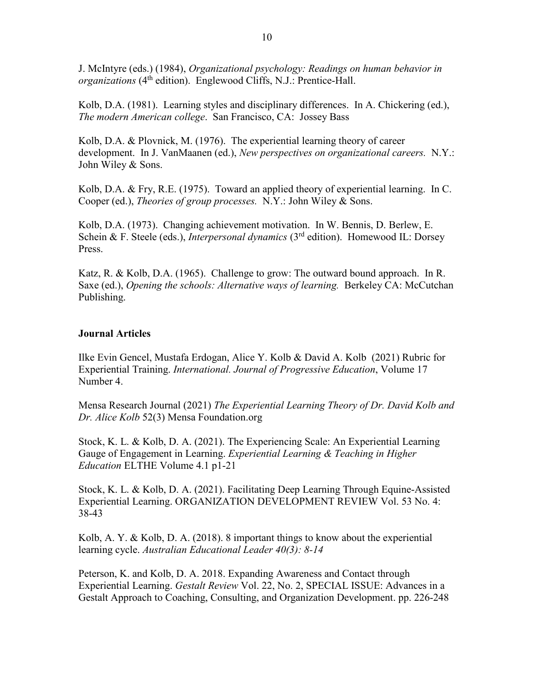J. McIntyre (eds.) (1984), *Organizational psychology: Readings on human behavior in organizations* (4<sup>th</sup> edition). Englewood Cliffs, N.J.: Prentice-Hall.

Kolb, D.A. (1981). Learning styles and disciplinary differences. In A. Chickering (ed.), *The modern American college*. San Francisco, CA: Jossey Bass

Kolb, D.A. & Plovnick, M. (1976). The experiential learning theory of career development. In J. VanMaanen (ed.), *New perspectives on organizational careers.* N.Y.: John Wiley & Sons.

Kolb, D.A. & Fry, R.E. (1975). Toward an applied theory of experiential learning. In C. Cooper (ed.), *Theories of group processes.* N.Y.: John Wiley & Sons.

Kolb, D.A. (1973). Changing achievement motivation. In W. Bennis, D. Berlew, E. Schein & F. Steele (eds.), *Interpersonal dynamics* (3<sup>rd</sup> edition). Homewood IL: Dorsey Press.

Katz, R. & Kolb, D.A. (1965). Challenge to grow: The outward bound approach. In R. Saxe (ed.), *Opening the schools: Alternative ways of learning.* Berkeley CA: McCutchan Publishing.

#### **Journal Articles**

Ilke Evin Gencel, Mustafa Erdogan, Alice Y. Kolb & David A. Kolb (2021) Rubric for Experiential Training. *International. Journal of Progressive Education*, Volume 17 Number 4.

Mensa Research Journal (2021) *The Experiential Learning Theory of Dr. David Kolb and Dr. Alice Kolb* 52(3) Mensa Foundation.org

Stock, K. L. & Kolb, D. A. (2021). The Experiencing Scale: An Experiential Learning Gauge of Engagement in Learning. *Experiential Learning & Teaching in Higher Education* ELTHE Volume 4.1 p1-21

Stock, K. L. & Kolb, D. A. (2021). Facilitating Deep Learning Through Equine-Assisted Experiential Learning. ORGANIZATION DEVELOPMENT REVIEW Vol. 53 No. 4: 38-43

Kolb, A. Y. & Kolb, D. A. (2018). 8 important things to know about the experiential learning cycle. *Australian Educational Leader 40(3): 8-14*

Peterson, K. and Kolb, D. A. 2018. Expanding Awareness and Contact through Experiential Learning. *Gestalt Review* Vol. 22, No. 2, SPECIAL ISSUE: Advances in a Gestalt Approach to Coaching, Consulting, and Organization Development. pp. 226-248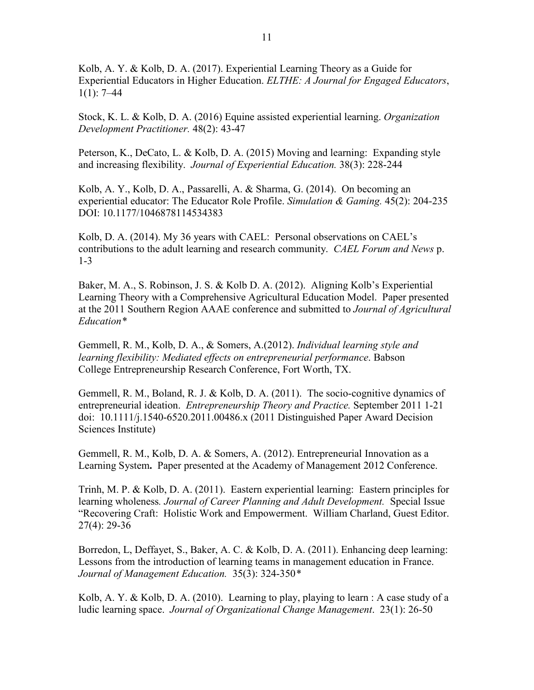Kolb, A. Y. & Kolb, D. A. (2017). Experiential Learning Theory as a Guide for Experiential Educators in Higher Education. *ELTHE: A Journal for Engaged Educators*,  $1(1): 7-44$ 

Stock, K. L. & Kolb, D. A. (2016) Equine assisted experiential learning. *Organization Development Practitioner.* 48(2): 43-47

Peterson, K., DeCato, L. & Kolb, D. A. (2015) Moving and learning: Expanding style and increasing flexibility. *Journal of Experiential Education.* 38(3): 228-244

Kolb, A. Y., Kolb, D. A., Passarelli, A. & Sharma, G. (2014). On becoming an experiential educator: The Educator Role Profile. *Simulation & Gaming.* 45(2): 204-235 DOI: 10.1177/1046878114534383

Kolb, D. A. (2014). My 36 years with CAEL: Personal observations on CAEL's contributions to the adult learning and research community. *CAEL Forum and News* p. 1-3

Baker, M. A., S. Robinson, J. S. & Kolb D. A. (2012). Aligning Kolb's Experiential Learning Theory with a Comprehensive Agricultural Education Model. Paper presented at the 2011 Southern Region AAAE conference and submitted to *Journal of Agricultural Education\**

Gemmell, R. M., Kolb, D. A., & Somers, A.(2012). *Individual learning style and learning flexibility: Mediated effects on entrepreneurial performance*. Babson College Entrepreneurship Research Conference, Fort Worth, TX.

Gemmell, R. M., Boland, R. J. & Kolb, D. A. (2011). The socio-cognitive dynamics of entrepreneurial ideation. *Entrepreneurship Theory and Practice.* September 2011 1-21 doi: 10.1111/j.1540-6520.2011.00486.x (2011 Distinguished Paper Award Decision Sciences Institute)

Gemmell, R. M., Kolb, D. A. & Somers, A. (2012). Entrepreneurial Innovation as a Learning System**.** Paper presented at the Academy of Management 2012 Conference.

Trinh, M. P. & Kolb, D. A. (2011).Eastern experiential learning: Eastern principles for learning wholeness*. Journal of Career Planning and Adult Development.* Special Issue "Recovering Craft: Holistic Work and Empowerment. William Charland, Guest Editor. 27(4): 29-36

Borredon, L, Deffayet, S., Baker, A. C. & Kolb, D. A. (2011). Enhancing deep learning: Lessons from the introduction of learning teams in management education in France. *Journal of Management Education.* 35(3): 324-350*\**

Kolb, A. Y. & Kolb, D. A. (2010). Learning to play, playing to learn : A case study of a ludic learning space. *Journal of Organizational Change Management*. 23(1): 26-50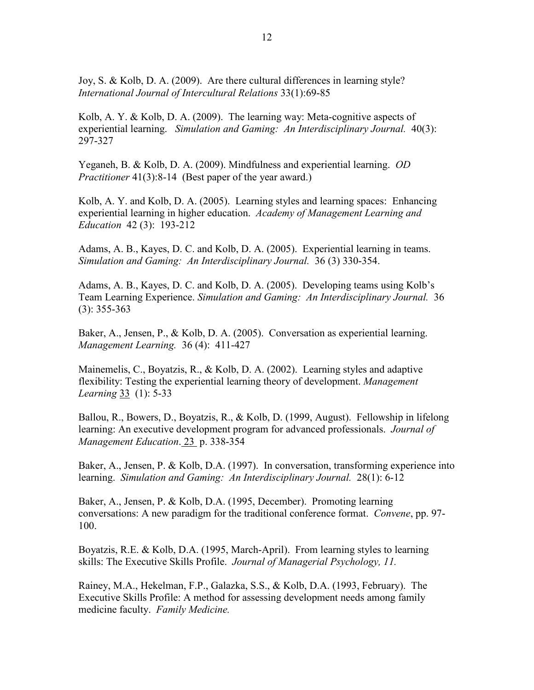Joy, S. & Kolb, D. A. (2009). Are there cultural differences in learning style? *International Journal of Intercultural Relations* 33(1):69-85

Kolb, A. Y. & Kolb, D. A. (2009). The learning way: Meta-cognitive aspects of experiential learning. *Simulation and Gaming: An Interdisciplinary Journal.* 40(3): 297-327

Yeganeh, B. & Kolb, D. A. (2009). Mindfulness and experiential learning. *OD Practitioner* 41(3):8-14 (Best paper of the year award.)

Kolb, A. Y. and Kolb, D. A. (2005). Learning styles and learning spaces: Enhancing experiential learning in higher education. *Academy of Management Learning and Education* 42 (3): 193-212

Adams, A. B., Kayes, D. C. and Kolb, D. A. (2005). Experiential learning in teams. *Simulation and Gaming: An Interdisciplinary Journal.* 36 (3) 330-354.

Adams, A. B., Kayes, D. C. and Kolb, D. A. (2005). Developing teams using Kolb's Team Learning Experience. *Simulation and Gaming: An Interdisciplinary Journal.* 36 (3): 355-363

Baker, A., Jensen, P., & Kolb, D. A. (2005). Conversation as experiential learning. *Management Learning.* 36 (4): 411-427

Mainemelis, C., Boyatzis, R., & Kolb, D. A. (2002). Learning styles and adaptive flexibility: Testing the experiential learning theory of development. *Management Learning* 33 (1): 5-33

Ballou, R., Bowers, D., Boyatzis, R., & Kolb, D. (1999, August). Fellowship in lifelong learning: An executive development program for advanced professionals. *Journal of Management Education*. 23 p. 338-354

Baker, A., Jensen, P. & Kolb, D.A. (1997). In conversation, transforming experience into learning. *Simulation and Gaming: An Interdisciplinary Journal.* 28(1): 6-12

Baker, A., Jensen, P. & Kolb, D.A. (1995, December). Promoting learning conversations: A new paradigm for the traditional conference format. *Convene*, pp. 97- 100.

Boyatzis, R.E. & Kolb, D.A. (1995, March-April). From learning styles to learning skills: The Executive Skills Profile. *Journal of Managerial Psychology, 11.*

Rainey, M.A., Hekelman, F.P., Galazka, S.S., & Kolb, D.A. (1993, February). The Executive Skills Profile: A method for assessing development needs among family medicine faculty. *Family Medicine.*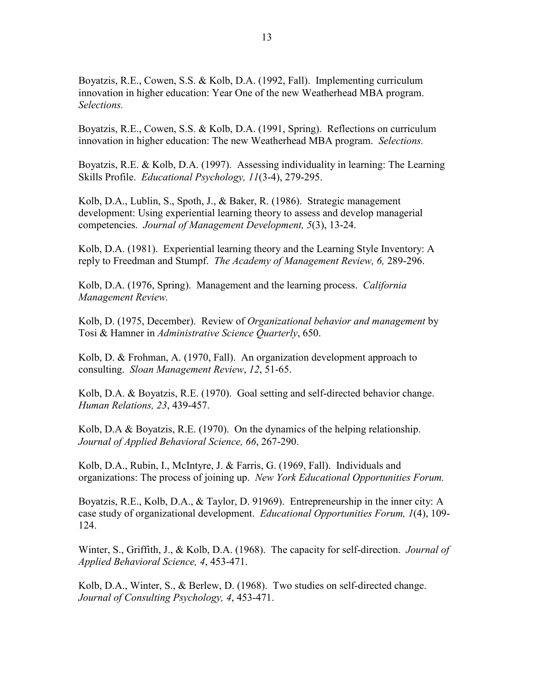Boyatzis, R.E., Cowen, S.S. & Kolb, D.A. (1992, Fall). Implementing curriculum innovation in higher education: Year One of the new Weatherhead MBA program. *Selections.*

Boyatzis, R.E., Cowen, S.S. & Kolb, D.A. (1991, Spring). Reflections on curriculum innovation in higher education: The new Weatherhead MBA program. *Selections.*

Boyatzis, R.E. & Kolb, D.A. (1997). Assessing individuality in learning: The Learning Skills Profile. *Educational Psychology, 11*(3-4), 279-295.

Kolb, D.A., Lublin, S., Spoth, J., & Baker, R. (1986). Strategic management development: Using experiential learning theory to assess and develop managerial competencies. *Journal of Management Development, 5*(3), 13-24.

Kolb, D.A. (1981). Experiential learning theory and the Learning Style Inventory: A reply to Freedman and Stumpf. *The Academy of Management Review, 6,* 289-296.

Kolb, D.A. (1976, Spring). Management and the learning process. *California Management Review.*

Kolb, D. (1975, December). Review of *Organizational behavior and management* by Tosi & Hamner in *Administrative Science Quarterly*, 650.

Kolb, D. & Frohman, A. (1970, Fall). An organization development approach to consulting. *Sloan Management Review*, *12*, 51-65.

Kolb, D.A. & Boyatzis, R.E. (1970). Goal setting and self-directed behavior change. *Human Relations, 23*, 439-457.

Kolb, D.A & Boyatzis, R.E. (1970). On the dynamics of the helping relationship. *Journal of Applied Behavioral Science, 66*, 267-290.

Kolb, D.A., Rubin, I., McIntyre, J. & Farris, G. (1969, Fall). Individuals and organizations: The process of joining up. *New York Educational Opportunities Forum.*

Boyatzis, R.E., Kolb, D.A., & Taylor, D. 91969). Entrepreneurship in the inner city: A case study of organizational development. *Educational Opportunities Forum, 1*(4), 109- 124.

Winter, S., Griffith, J., & Kolb, D.A. (1968). The capacity for self-direction. *Journal of Applied Behavioral Science, 4*, 453-471.

Kolb, D.A., Winter, S., & Berlew, D. (1968). Two studies on self-directed change. *Journal of Consulting Psychology, 4*, 453-471.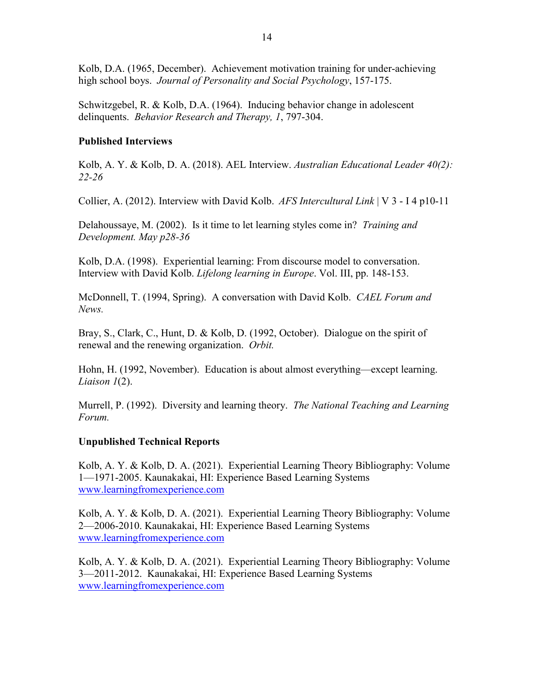Kolb, D.A. (1965, December). Achievement motivation training for under-achieving high school boys. *Journal of Personality and Social Psychology*, 157-175.

Schwitzgebel, R. & Kolb, D.A. (1964). Inducing behavior change in adolescent delinquents. *Behavior Research and Therapy, 1*, 797-304.

#### **Published Interviews**

Kolb, A. Y. & Kolb, D. A. (2018). AEL Interview. *Australian Educational Leader 40(2): 22-26*

Collier, A. (2012). Interview with David Kolb. *AFS Intercultural Link* | V 3 - I 4 p10-11

Delahoussaye, M. (2002). Is it time to let learning styles come in? *Training and Development. May p28-36*

Kolb, D.A. (1998). Experiential learning: From discourse model to conversation. Interview with David Kolb. *Lifelong learning in Europe*. Vol. III, pp. 148-153.

McDonnell, T. (1994, Spring). A conversation with David Kolb. *CAEL Forum and News.*

Bray, S., Clark, C., Hunt, D. & Kolb, D. (1992, October). Dialogue on the spirit of renewal and the renewing organization. *Orbit.*

Hohn, H. (1992, November). Education is about almost everything—except learning. *Liaison 1*(2).

Murrell, P. (1992). Diversity and learning theory. *The National Teaching and Learning Forum.*

### **Unpublished Technical Reports**

Kolb, A. Y. & Kolb, D. A. (2021). Experiential Learning Theory Bibliography: Volume 1—1971-2005. Kaunakakai, HI: Experience Based Learning Systems [www.learningfromexperience.com](http://www.learningfromexperience.com/)

Kolb, A. Y. & Kolb, D. A. (2021). Experiential Learning Theory Bibliography: Volume 2—2006-2010. Kaunakakai, HI: Experience Based Learning Systems [www.learningfromexperience.com](http://www.learningfromexperience.com/)

Kolb, A. Y. & Kolb, D. A. (2021). Experiential Learning Theory Bibliography: Volume 3—2011-2012. Kaunakakai, HI: Experience Based Learning Systems [www.learningfromexperience.com](http://www.learningfromexperience.com/)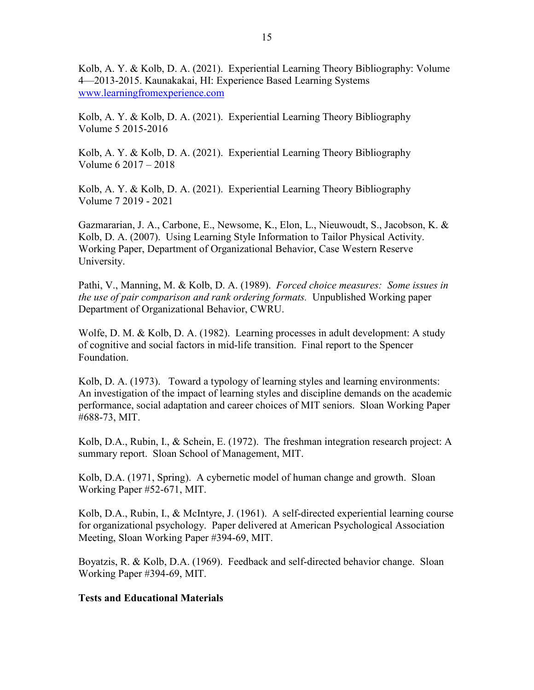Kolb, A. Y. & Kolb, D. A. (2021). Experiential Learning Theory Bibliography: Volume 4—2013-2015. Kaunakakai, HI: Experience Based Learning Systems [www.learningfromexperience.com](http://www.learningfromexperience.com/)

Kolb, A. Y. & Kolb, D. A. (2021). Experiential Learning Theory Bibliography Volume 5 2015-2016

Kolb, A. Y. & Kolb, D. A. (2021). Experiential Learning Theory Bibliography Volume 6 2017 – 2018

Kolb, A. Y. & Kolb, D. A. (2021). Experiential Learning Theory Bibliography Volume 7 2019 - 2021

Gazmararian, J. A., Carbone, E., Newsome, K., Elon, L., Nieuwoudt, S., Jacobson, K. & Kolb, D. A. (2007). Using Learning Style Information to Tailor Physical Activity. Working Paper, Department of Organizational Behavior, Case Western Reserve University.

Pathi, V., Manning, M. & Kolb, D. A. (1989). *Forced choice measures: Some issues in the use of pair comparison and rank ordering formats.* Unpublished Working paper Department of Organizational Behavior, CWRU.

Wolfe, D. M. & Kolb, D. A. (1982). Learning processes in adult development: A study of cognitive and social factors in mid-life transition. Final report to the Spencer Foundation.

Kolb, D. A. (1973). Toward a typology of learning styles and learning environments: An investigation of the impact of learning styles and discipline demands on the academic performance, social adaptation and career choices of MIT seniors. Sloan Working Paper #688-73, MIT.

Kolb, D.A., Rubin, I., & Schein, E. (1972). The freshman integration research project: A summary report. Sloan School of Management, MIT.

Kolb, D.A. (1971, Spring). A cybernetic model of human change and growth. Sloan Working Paper #52-671, MIT.

Kolb, D.A., Rubin, I., & McIntyre, J. (1961). A self-directed experiential learning course for organizational psychology. Paper delivered at American Psychological Association Meeting, Sloan Working Paper #394-69, MIT.

Boyatzis, R. & Kolb, D.A. (1969). Feedback and self-directed behavior change. Sloan Working Paper #394-69, MIT.

#### **Tests and Educational Materials**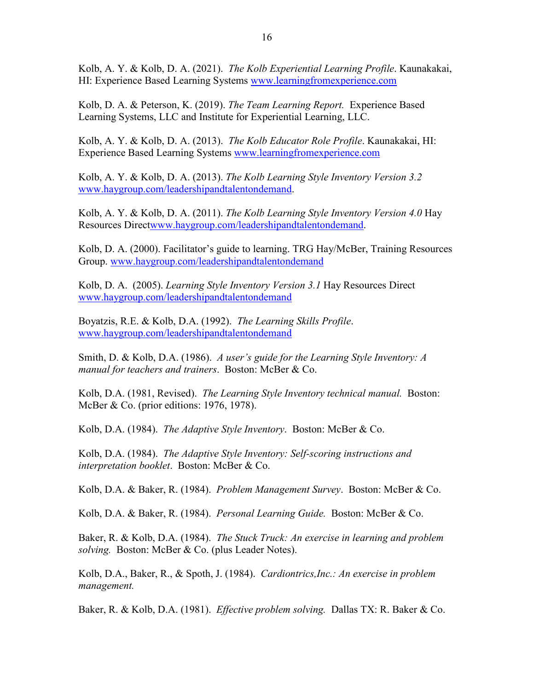Kolb, A. Y. & Kolb, D. A. (2021). *The Kolb Experiential Learning Profile*. Kaunakakai, HI: Experience Based Learning Systems [www.learningfromexperience.com](http://www.learningfromexperience.com/)

Kolb, D. A. & Peterson, K. (2019). *The Team Learning Report.* Experience Based Learning Systems, LLC and Institute for Experiential Learning, LLC.

Kolb, A. Y. & Kolb, D. A. (2013). *The Kolb Educator Role Profile*. Kaunakakai, HI: Experience Based Learning Systems [www.learningfromexperience.com](http://www.learningfromexperience.com/)

Kolb, A. Y. & Kolb, D. A. (2013). *The Kolb Learning Style Inventory Version 3.2* [www.haygroup.com/leadershipandtalentondemand.](http://www.haygroup.com/leadershipandtalentondemand)

Kolb, A. Y. & Kolb, D. A. (2011). *The Kolb Learning Style Inventory Version 4.0* Hay Resources Direc[twww.haygroup.com/leadershipandtalentondemand.](http://www.haygroup.com/leadershipandtalentondemand)

Kolb, D. A. (2000). Facilitator's guide to learning. TRG Hay/McBer, Training Resources Group. [www.haygroup.com/leadershipandtalentondemand](http://www.haygroup.com/leadershipandtalentondemand)

Kolb, D. A. (2005). *Learning Style Inventory Version 3.1* Hay Resources Direct [www.haygroup.com/leadershipandtalentondemand](http://www.haygroup.com/leadershipandtalentondemand)

Boyatzis, R.E. & Kolb, D.A. (1992). *The Learning Skills Profile*. [www.haygroup.com/leadershipandtalentondemand](http://www.haygroup.com/leadershipandtalentondemand)

Smith, D. & Kolb, D.A. (1986). *A user's guide for the Learning Style Inventory: A manual for teachers and trainers*. Boston: McBer & Co.

Kolb, D.A. (1981, Revised). *The Learning Style Inventory technical manual.* Boston: McBer & Co. (prior editions: 1976, 1978).

Kolb, D.A. (1984). *The Adaptive Style Inventory*. Boston: McBer & Co.

Kolb, D.A. (1984). *The Adaptive Style Inventory: Self-scoring instructions and interpretation booklet*. Boston: McBer & Co.

Kolb, D.A. & Baker, R. (1984). *Problem Management Survey*. Boston: McBer & Co.

Kolb, D.A. & Baker, R. (1984). *Personal Learning Guide.* Boston: McBer & Co.

Baker, R. & Kolb, D.A. (1984). *The Stuck Truck: An exercise in learning and problem solving.* Boston: McBer & Co. (plus Leader Notes).

Kolb, D.A., Baker, R., & Spoth, J. (1984). *Cardiontrics,Inc.: An exercise in problem management.*

Baker, R. & Kolb, D.A. (1981). *Effective problem solving.* Dallas TX: R. Baker & Co.